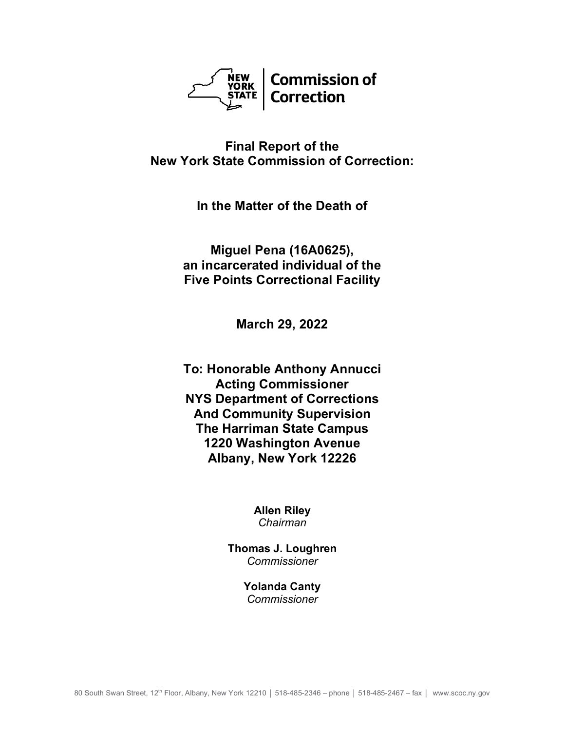

# **Final Report of the New York State Commission of Correction:**

**In the Matter of the Death of**

**Miguel Pena (16A0625), an incarcerated individual of the Five Points Correctional Facility**

**March 29, 2022**

**To: Honorable Anthony Annucci Acting Commissioner NYS Department of Corrections And Community Supervision The Harriman State Campus 1220 Washington Avenue Albany, New York 12226**

> **Allen Riley** *Chairman*

**Thomas J. Loughren** *Commissioner*

> **Yolanda Canty** *Commissioner*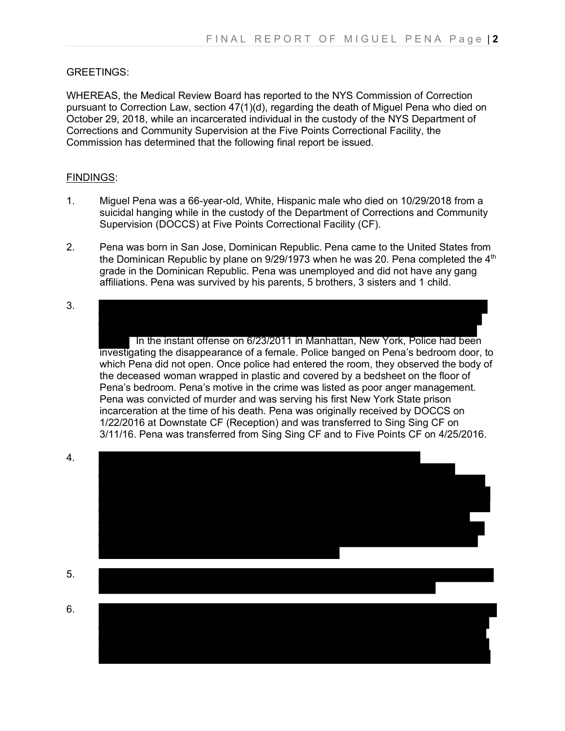### GREETINGS:

WHEREAS, the Medical Review Board has reported to the NYS Commission of Correction pursuant to Correction Law, section 47(1)(d), regarding the death of Miguel Pena who died on October 29, 2018, while an incarcerated individual in the custody of the NYS Department of Corrections and Community Supervision at the Five Points Correctional Facility, the Commission has determined that the following final report be issued.

#### FINDINGS:

- 1. Miguel Pena was a 66-year-old, White, Hispanic male who died on 10/29/2018 from a suicidal hanging while in the custody of the Department of Corrections and Community Supervision (DOCCS) at Five Points Correctional Facility (CF).
- 2. Pena was born in San Jose, Dominican Republic. Pena came to the United States from the Dominican Republic by plane on  $9/29/1973$  when he was 20. Pena completed the  $4<sup>th</sup>$ grade in the Dominican Republic. Pena was unemployed and did not have any gang affiliations. Pena was survived by his parents, 5 brothers, 3 sisters and 1 child.
- 3.

In the instant offense on 6/23/2011 in Manhattan, New York, Police had been investigating the disappearance of a female. Police banged on Pena's bedroom door, to which Pena did not open. Once police had entered the room, they observed the body of the deceased woman wrapped in plastic and covered by a bedsheet on the floor of Pena's bedroom. Pena's motive in the crime was listed as poor anger management. Pena was convicted of murder and was serving his first New York State prison incarceration at the time of his death. Pena was originally received by DOCCS on 1/22/2016 at Downstate CF (Reception) and was transferred to Sing Sing CF on 3/11/16. Pena was transferred from Sing Sing CF and to Five Points CF on 4/25/2016.



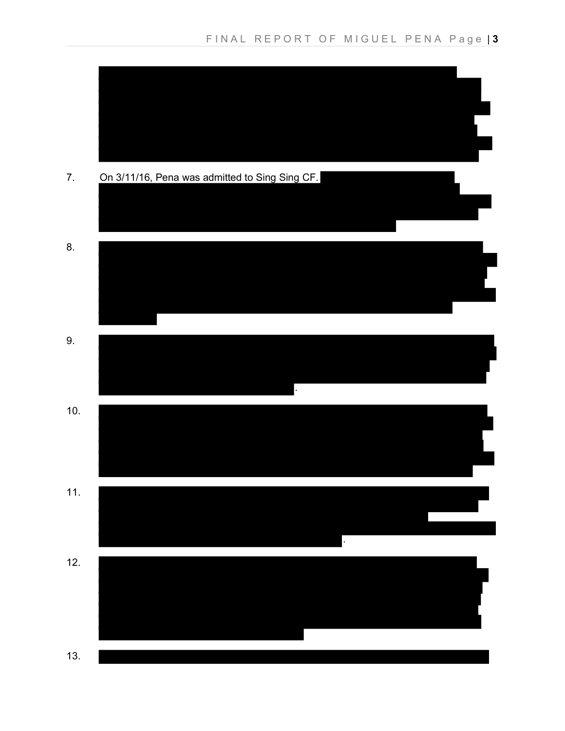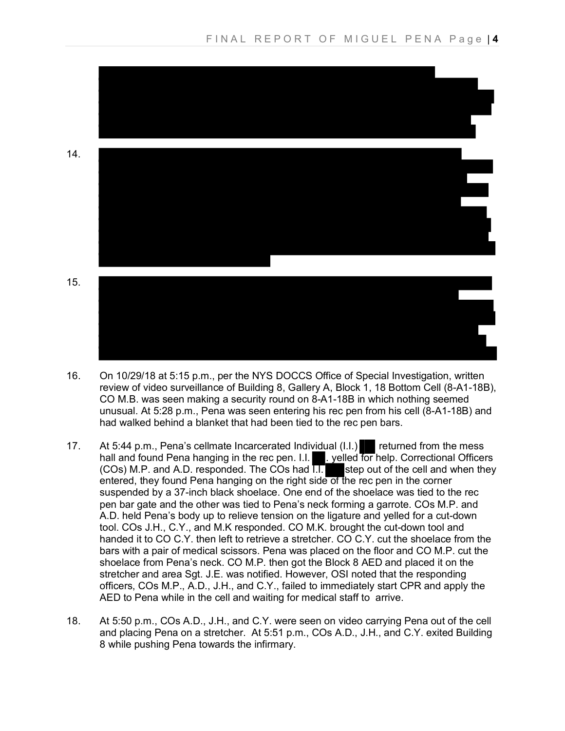

- 16. On 10/29/18 at 5:15 p.m., per the NYS DOCCS Office of Special Investigation, written review of video surveillance of Building 8, Gallery A, Block 1, 18 Bottom Cell (8-A1-18B), CO M.B. was seen making a security round on 8-A1-18B in which nothing seemed unusual. At 5:28 p.m., Pena was seen entering his rec pen from his cell (8-A1-18B) and had walked behind a blanket that had been tied to the rec pen bars.
- 17. At 5:44 p.m., Pena's cellmate Incarcerated Individual (I.I.) returned from the mess hall and found Pena hanging in the rec pen. I.I. **We put the form help. Correctional Officers** (COs) M.P. and A.D. responded. The COs had  $\Pi$ . step out of the cell and when they entered, they found Pena hanging on the right side of the rec pen in the corner suspended by a 37-inch black shoelace. One end of the shoelace was tied to the rec pen bar gate and the other was tied to Pena's neck forming a garrote. COs M.P. and A.D. held Pena's body up to relieve tension on the ligature and yelled for a cut-down tool. COs J.H., C.Y., and M.K responded. CO M.K. brought the cut-down tool and handed it to CO C.Y. then left to retrieve a stretcher. CO C.Y. cut the shoelace from the bars with a pair of medical scissors. Pena was placed on the floor and CO M.P. cut the shoelace from Pena's neck. CO M.P. then got the Block 8 AED and placed it on the stretcher and area Sgt. J.E. was notified. However, OSI noted that the responding officers, COs M.P., A.D., J.H., and C.Y., failed to immediately start CPR and apply the AED to Pena while in the cell and waiting for medical staff to arrive.
- 18. At 5:50 p.m., COs A.D., J.H., and C.Y. were seen on video carrying Pena out of the cell and placing Pena on a stretcher. At 5:51 p.m., COs A.D., J.H., and C.Y. exited Building 8 while pushing Pena towards the infirmary.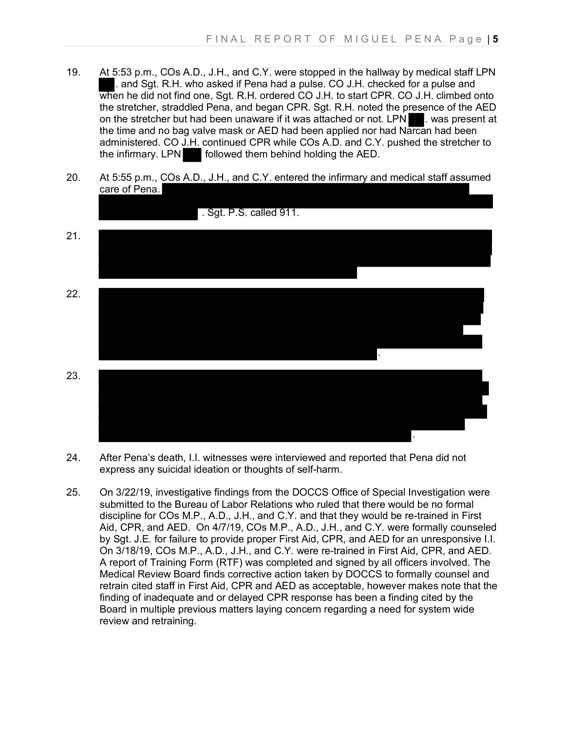- 19. At 5:53 p.m., COs A.D., J.H., and C.Y. were stopped in the hallway by medical staff LPN . and Sgt. R.H. who asked if Pena had a pulse. CO J.H. checked for a pulse and when he did not find one, Sgt. R.H. ordered CO J.H. to start CPR. CO J.H. climbed onto the stretcher, straddled Pena, and began CPR. Sgt. R.H. noted the presence of the AED on the stretcher but had been unaware if it was attached or not. LPN . was present at the time and no bag valve mask or AED had been applied nor had Narcan had been administered. CO J.H. continued CPR while COs A.D. and C.Y. pushed the stretcher to the infirmary. LPN followed them behind holding the AED.
- 20. At 5:55 p.m., COs A.D., J.H., and C.Y. entered the infirmary and medical staff assumed care of Pena.



- 24. After Pena's death, I.I. witnesses were interviewed and reported that Pena did not express any suicidal ideation or thoughts of self-harm.
- 25. On 3/22/19, investigative findings from the DOCCS Office of Special Investigation were submitted to the Bureau of Labor Relations who ruled that there would be no formal discipline for COs M.P., A.D., J.H., and C.Y. and that they would be re-trained in First Aid, CPR, and AED. On 4/7/19, COs M.P., A.D., J.H., and C.Y. were formally counseled by Sgt. J.E. for failure to provide proper First Aid, CPR, and AED for an unresponsive I.I. On 3/18/19, COs M.P., A.D., J.H., and C.Y. were re-trained in First Aid, CPR, and AED. A report of Training Form (RTF) was completed and signed by all officers involved. The Medical Review Board finds corrective action taken by DOCCS to formally counsel and retrain cited staff in First Aid, CPR and AED as acceptable, however makes note that the finding of inadequate and or delayed CPR response has been a finding cited by the Board in multiple previous matters laying concern regarding a need for system wide review and retraining.